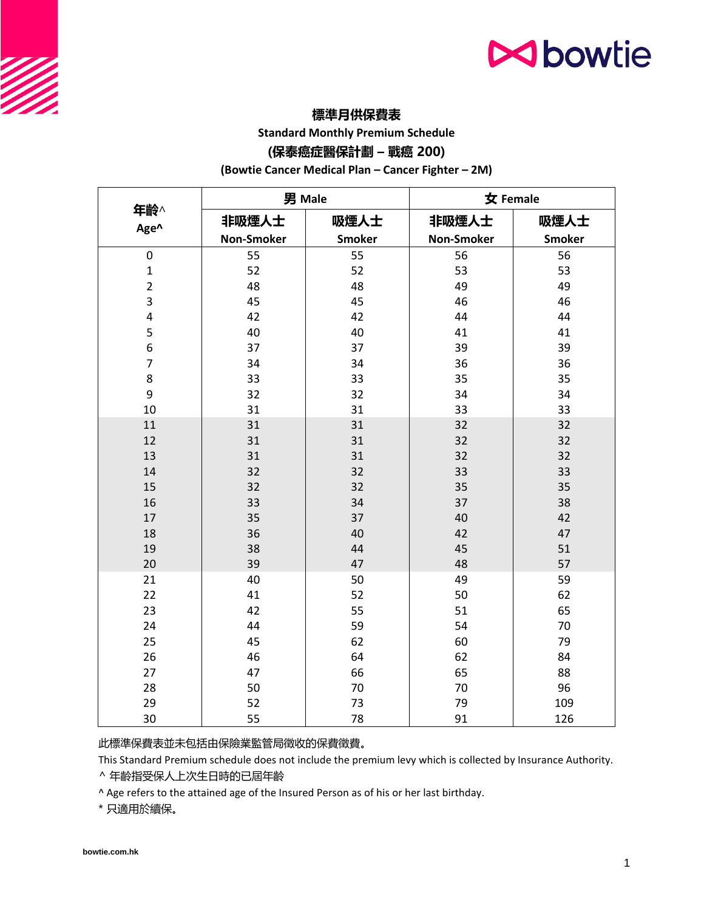# **N**bowtie

## **標準月供保費表**

**Standard Monthly Premium Schedule**

### **(保泰癌症醫保計劃 – 戰癌 200)**

**(Bowtie Cancer Medical Plan – Cancer Fighter – 2M)**

|                | 男 Male            |               | 女 Female          |               |
|----------------|-------------------|---------------|-------------------|---------------|
| 年齡^<br>Age^    | 非吸煙人士             | 吸煙人士          | 非吸煙人士             | 吸煙人士          |
|                | <b>Non-Smoker</b> | <b>Smoker</b> | <b>Non-Smoker</b> | <b>Smoker</b> |
| 0              | 55                | 55            | 56                | 56            |
| $\mathbf 1$    | 52                | 52            | 53                | 53            |
| $\overline{2}$ | 48                | 48            | 49                | 49            |
| 3              | 45                | 45            | 46                | 46            |
| 4              | 42                | 42            | 44                | 44            |
| 5              | 40                | 40            | 41                | 41            |
| 6              | 37                | 37            | 39                | 39            |
| $\overline{7}$ | 34                | 34            | 36                | 36            |
| 8              | 33                | 33            | 35                | 35            |
| 9              | 32                | 32            | 34                | 34            |
| 10             | 31                | 31            | 33                | 33            |
| 11             | 31                | 31            | 32                | 32            |
| 12             | 31                | 31            | 32                | 32            |
| 13             | 31                | 31            | 32                | 32            |
| 14             | 32                | 32            | 33                | 33            |
| 15             | 32                | 32            | 35                | 35            |
| 16             | 33                | 34            | 37                | 38            |
| 17             | 35                | 37            | 40                | 42            |
| 18             | 36                | 40            | 42                | 47            |
| 19             | 38                | 44            | 45                | 51            |
| 20             | 39                | 47            | 48                | 57            |
| 21             | 40                | 50            | 49                | 59            |
| 22             | 41                | 52            | 50                | 62            |
| 23             | 42                | 55            | 51                | 65            |
| 24             | 44                | 59            | 54                | 70            |
| 25             | 45                | 62            | 60                | 79            |
| 26             | 46                | 64            | 62                | 84            |
| 27             | 47                | 66            | 65                | 88            |
| 28             | 50                | 70            | 70                | 96            |
| 29             | 52                | 73            | 79                | 109           |
| 30             | 55                | 78            | 91                | 126           |

此標準保費表並未包括由保險業監管局徵收的保費徵費。

This Standard Premium schedule does not include the premium levy which is collected by Insurance Authority.

^ 年齡指受保人上次生日時的已屆年齡

^ Age refers to the attained age of the Insured Person as of his or her last birthday.

\* 只適用於續保。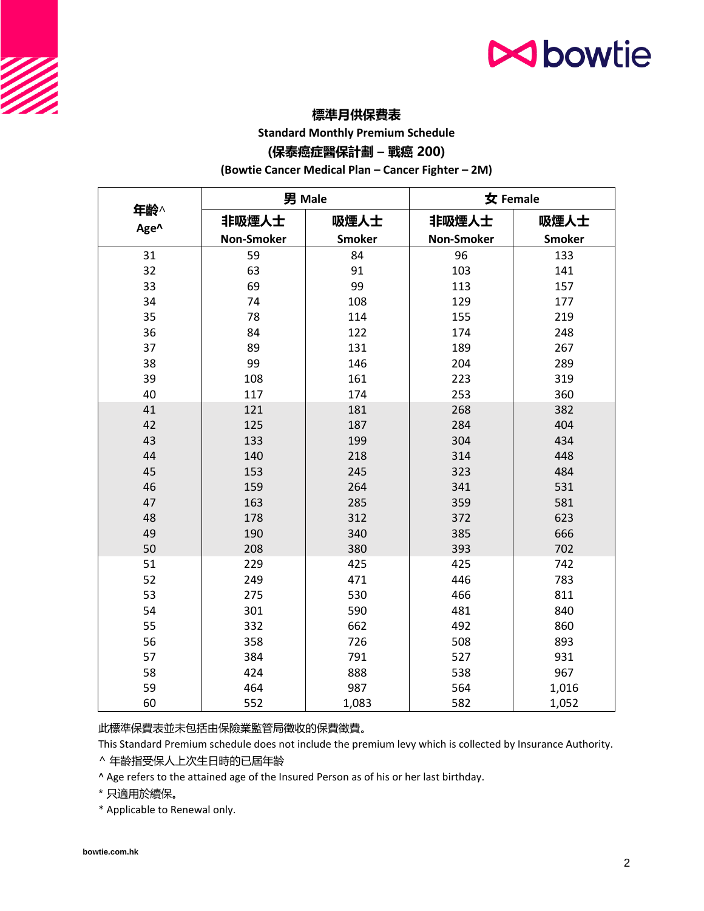# **N**bowtie

## **標準月供保費表**

**Standard Monthly Premium Schedule**

### **(保泰癌症醫保計劃 – 戰癌 200)**

**(Bowtie Cancer Medical Plan – Cancer Fighter – 2M)**

|             | 男 Male     |               | 女 Female          |               |
|-------------|------------|---------------|-------------------|---------------|
| 年齡^<br>Age^ | 非吸煙人士      | 吸煙人士          | 非吸煙人士             | 吸煙人士          |
|             | Non-Smoker | <b>Smoker</b> | <b>Non-Smoker</b> | <b>Smoker</b> |
| 31          | 59         | 84            | 96                | 133           |
| 32          | 63         | 91            | 103               | 141           |
| 33          | 69         | 99            | 113               | 157           |
| 34          | 74         | 108           | 129               | 177           |
| 35          | 78         | 114           | 155               | 219           |
| 36          | 84         | 122           | 174               | 248           |
| 37          | 89         | 131           | 189               | 267           |
| 38          | 99         | 146           | 204               | 289           |
| 39          | 108        | 161           | 223               | 319           |
| 40          | 117        | 174           | 253               | 360           |
| 41          | 121        | 181           | 268               | 382           |
| 42          | 125        | 187           | 284               | 404           |
| 43          | 133        | 199           | 304               | 434           |
| 44          | 140        | 218           | 314               | 448           |
| 45          | 153        | 245           | 323               | 484           |
| 46          | 159        | 264           | 341               | 531           |
| 47          | 163        | 285           | 359               | 581           |
| 48          | 178        | 312           | 372               | 623           |
| 49          | 190        | 340           | 385               | 666           |
| 50          | 208        | 380           | 393               | 702           |
| 51          | 229        | 425           | 425               | 742           |
| 52          | 249        | 471           | 446               | 783           |
| 53          | 275        | 530           | 466               | 811           |
| 54          | 301        | 590           | 481               | 840           |
| 55          | 332        | 662           | 492               | 860           |
| 56          | 358        | 726           | 508               | 893           |
| 57          | 384        | 791           | 527               | 931           |
| 58          | 424        | 888           | 538               | 967           |
| 59          | 464        | 987           | 564               | 1,016         |
| 60          | 552        | 1,083         | 582               | 1,052         |

此標準保費表並未包括由保險業監管局徵收的保費徵費。

This Standard Premium schedule does not include the premium levy which is collected by Insurance Authority.

^ 年齡指受保人上次生日時的已屆年齡

^ Age refers to the attained age of the Insured Person as of his or her last birthday.

\* 只適用於續保。

\* Applicable to Renewal only.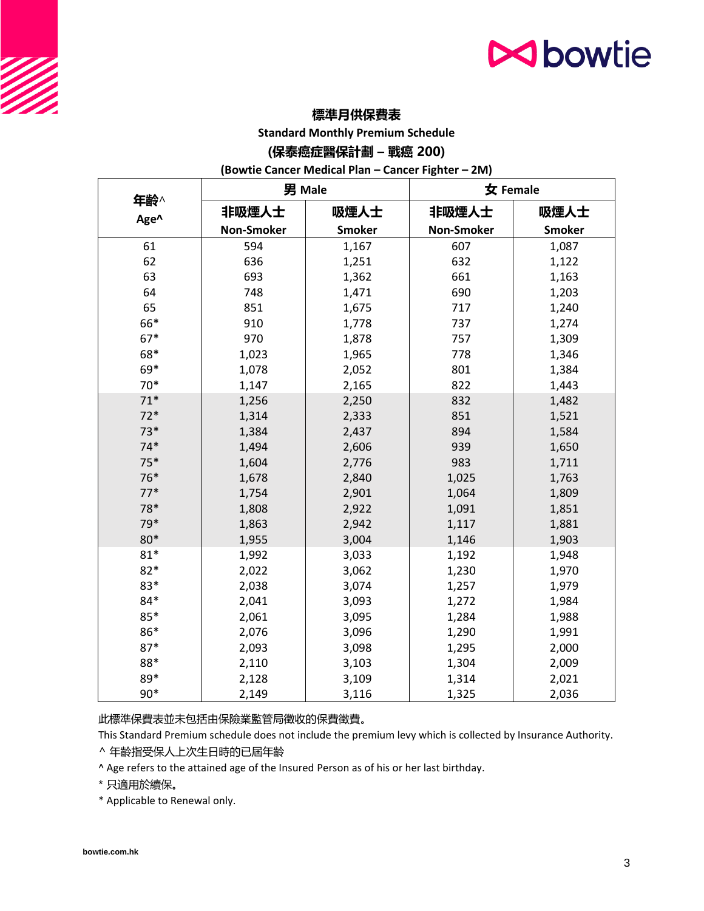# **N**bowtie

### **標準月供保費表**

**Standard Monthly Premium Schedule**

### **(保泰癌症醫保計劃 – 戰癌 200)**

**(Bowtie Cancer Medical Plan – Cancer Fighter – 2M)**

|             | 男 Male            |               | 女 Female          |               |
|-------------|-------------------|---------------|-------------------|---------------|
| 年齡^<br>Age^ | 非吸煙人士             | 吸煙人士          | 非吸煙人士             | 吸煙人士          |
|             | <b>Non-Smoker</b> | <b>Smoker</b> | <b>Non-Smoker</b> | <b>Smoker</b> |
| 61          | 594               | 1,167         | 607               | 1,087         |
| 62          | 636               | 1,251         | 632               | 1,122         |
| 63          | 693               | 1,362         | 661               | 1,163         |
| 64          | 748               | 1,471         | 690               | 1,203         |
| 65          | 851               | 1,675         | 717               | 1,240         |
| 66*         | 910               | 1,778         | 737               | 1,274         |
| $67*$       | 970               | 1,878         | 757               | 1,309         |
| 68*         | 1,023             | 1,965         | 778               | 1,346         |
| 69*         | 1,078             | 2,052         | 801               | 1,384         |
| $70*$       | 1,147             | 2,165         | 822               | 1,443         |
| $71*$       | 1,256             | 2,250         | 832               | 1,482         |
| $72*$       | 1,314             | 2,333         | 851               | 1,521         |
| $73*$       | 1,384             | 2,437         | 894               | 1,584         |
| $74*$       | 1,494             | 2,606         | 939               | 1,650         |
| $75*$       | 1,604             | 2,776         | 983               | 1,711         |
| 76*         | 1,678             | 2,840         | 1,025             | 1,763         |
| $77*$       | 1,754             | 2,901         | 1,064             | 1,809         |
| 78*         | 1,808             | 2,922         | 1,091             | 1,851         |
| 79*         | 1,863             | 2,942         | 1,117             | 1,881         |
| 80*         | 1,955             | 3,004         | 1,146             | 1,903         |
| $81*$       | 1,992             | 3,033         | 1,192             | 1,948         |
| $82*$       | 2,022             | 3,062         | 1,230             | 1,970         |
| 83*         | 2,038             | 3,074         | 1,257             | 1,979         |
| 84*         | 2,041             | 3,093         | 1,272             | 1,984         |
| 85*         | 2,061             | 3,095         | 1,284             | 1,988         |
| 86*         | 2,076             | 3,096         | 1,290             | 1,991         |
| $87*$       | 2,093             | 3,098         | 1,295             | 2,000         |
| 88*         | 2,110             | 3,103         | 1,304             | 2,009         |
| 89*         | 2,128             | 3,109         | 1,314             | 2,021         |
| $90*$       | 2,149             | 3,116         | 1,325             | 2,036         |

此標準保費表並未包括由保險業監管局徵收的保費徵費。

This Standard Premium schedule does not include the premium levy which is collected by Insurance Authority.

^ 年齡指受保人上次生日時的已屆年齡

^ Age refers to the attained age of the Insured Person as of his or her last birthday.

\* 只適用於續保。

\* Applicable to Renewal only.